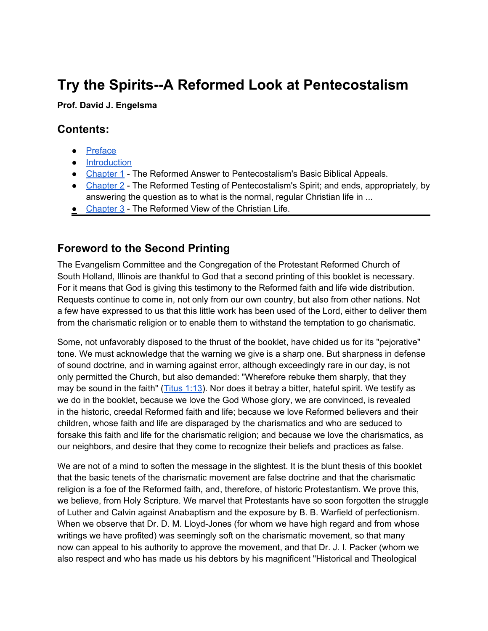# **Try the Spirits--A Reformed Look at Pentecostalism**

#### **Prof. David J. Engelsma**

#### **Contents:**

- [Preface](#page-1-0)
- [Introduction](#page-3-0)
- [Chapter 1](#page-3-0) The Reformed Answer to Pentecostalism's Basic Biblical Appeals.
- [Chapter 2](#page-13-0) The Reformed Testing of Pentecostalism's Spirit; and ends, appropriately, by answering the question as to what is the normal, regular Christian life in ...
- [Chapter 3](#page-17-0) The Reformed View of the Christian Life.

### **Foreword to the Second Printing**

The Evangelism Committee and the Congregation of the Protestant Reformed Church of South Holland, Illinois are thankful to God that a second printing of this booklet is necessary. For it means that God is giving this testimony to the Reformed faith and life wide distribution. Requests continue to come in, not only from our own country, but also from other nations. Not a few have expressed to us that this little work has been used of the Lord, either to deliver them from the charismatic religion or to enable them to withstand the temptation to go charismatic.

Some, not unfavorably disposed to the thrust of the booklet, have chided us for its "pejorative" tone. We must acknowledge that the warning we give is a sharp one. But sharpness in defense of sound doctrine, and in warning against error, although exceedingly rare in our day, is not only permitted the Church, but also demanded: "Wherefore rebuke them sharply, that they may be sound in the faith" ( $Titus 1:13$ ). Nor does it betray a bitter, hateful spirit. We testify as we do in the booklet, because we love the God Whose glory, we are convinced, is revealed in the historic, creedal Reformed faith and life; because we love Reformed believers and their children, whose faith and life are disparaged by the charismatics and who are seduced to forsake this faith and life for the charismatic religion; and because we love the charismatics, as our neighbors, and desire that they come to recognize their beliefs and practices as false.

We are not of a mind to soften the message in the slightest. It is the blunt thesis of this booklet that the basic tenets of the charismatic movement are false doctrine and that the charismatic religion is a foe of the Reformed faith, and, therefore, of historic Protestantism. We prove this, we believe, from Holy Scripture. We marvel that Protestants have so soon forgotten the struggle of Luther and Calvin against Anabaptism and the exposure by B. B. Warfield of perfectionism. When we observe that Dr. D. M. Lloyd-Jones (for whom we have high regard and from whose writings we have profited) was seemingly soft on the charismatic movement, so that many now can appeal to his authority to approve the movement, and that Dr. J. I. Packer (whom we also respect and who has made us his debtors by his magnificent "Historical and Theological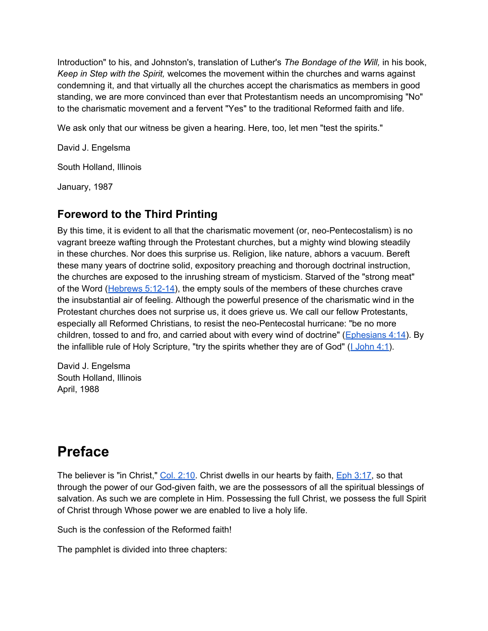<span id="page-1-0"></span>Introduction" to his, and Johnston's, translation of Luther's *The Bondage of the Will,* in his book, *Keep in Step with the Spirit,* welcomes the movement within the churches and warns against condemning it, and that virtually all the churches accept the charismatics as members in good standing, we are more convinced than ever that Protestantism needs an uncompromising "No" to the charismatic movement and a fervent "Yes" to the traditional Reformed faith and life.

We ask only that our witness be given a hearing. Here, too, let men "test the spirits."

David J. Engelsma

South Holland, Illinois

January, 1987

### **Foreword to the Third Printing**

By this time, it is evident to all that the charismatic movement (or, neo-Pentecostalism) is no vagrant breeze wafting through the Protestant churches, but a mighty wind blowing steadily in these churches. Nor does this surprise us. Religion, like nature, abhors a vacuum. Bereft these many years of doctrine solid, expository preaching and thorough doctrinal instruction, the churches are exposed to the inrushing stream of mysticism. Starved of the "strong meat" of the Word ( $Hebrews$  5:12-14), the empty souls of the members of these churches crave the insubstantial air of feeling. Although the powerful presence of the charismatic wind in the Protestant churches does not surprise us, it does grieve us. We call our fellow Protestants, especially all Reformed Christians, to resist the neo-Pentecostal hurricane: "be no more children, tossed to and fro, and carried about with every wind of doctrine" ([Ephesians 4:14](http://bible.gospelcom.net/bible?version=KJV&passage=Ephesians+4:14)). By the infallible rule of Holy Scripture, "try the spirits whether they are of God" ([I](http://bible.gospelcom.net/bible?version=KJV&passage=I+John+4:1) [John 4:1](http://bible.gospelcom.net/bible?version=KJV&passage=I+John+4:1)).

David J. Engelsma South Holland, Illinois April, 1988

# **Preface**

The believer is "in Christ," [Col. 2:10.](http://bible.gospelcom.net/bible?version=KJV&passage=Col+2:10) Christ dwells in our hearts by faith, *Eph 3:17*, so that through the power of our God-given faith, we are the possessors of all the spiritual blessings of salvation. As such we are complete in Him. Possessing the full Christ, we possess the full Spirit of Christ through Whose power we are enabled to live a holy life.

Such is the confession of the Reformed faith!

The pamphlet is divided into three chapters: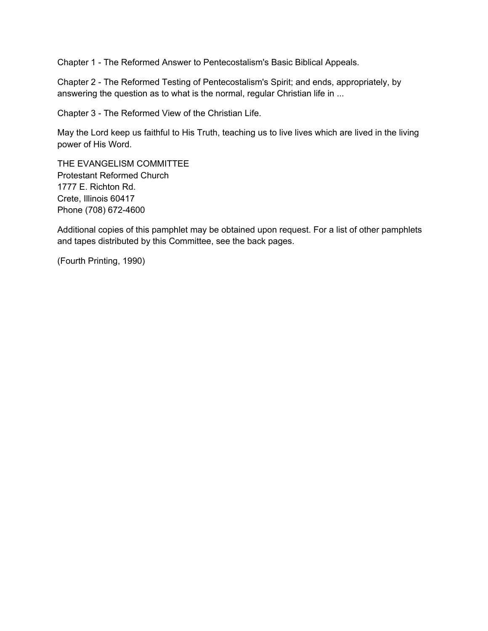Chapter 1 - The Reformed Answer to Pentecostalism's Basic Biblical Appeals.

Chapter 2 - The Reformed Testing of Pentecostalism's Spirit; and ends, appropriately, by answering the question as to what is the normal, regular Christian life in ...

Chapter 3 - The Reformed View of the Christian Life.

May the Lord keep us faithful to His Truth, teaching us to live lives which are lived in the living power of His Word.

THE EVANGELISM COMMITTEE Protestant Reformed Church 1777 E. Richton Rd. Crete, Illinois 60417 Phone (708) 672-4600

Additional copies of this pamphlet may be obtained upon request. For a list of other pamphlets and tapes distributed by this Committee, see the back pages.

(Fourth Printing, 1990)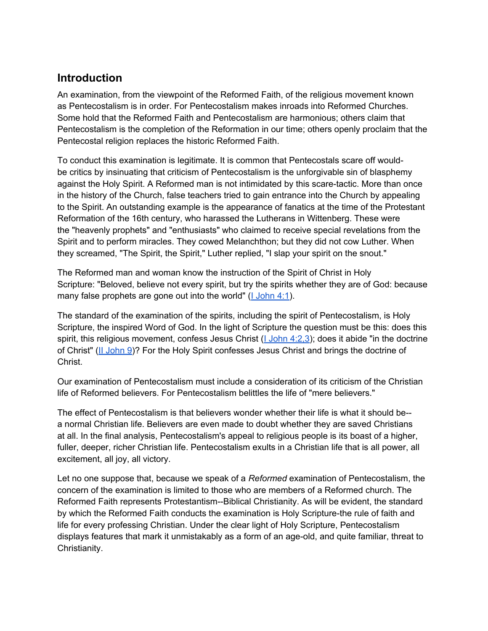#### <span id="page-3-0"></span>**Introduction**

An examination, from the viewpoint of the Reformed Faith, of the religious movement known as Pentecostalism is in order. For Pentecostalism makes inroads into Reformed Churches. Some hold that the Reformed Faith and Pentecostalism are harmonious; others claim that Pentecostalism is the completion of the Reformation in our time; others openly proclaim that the Pentecostal religion replaces the historic Reformed Faith.

To conduct this examination is legitimate. It is common that Pentecostals scare off wouldbe critics by insinuating that criticism of Pentecostalism is the unforgivable sin of blasphemy against the Holy Spirit. A Reformed man is not intimidated by this scare-tactic. More than once in the history of the Church, false teachers tried to gain entrance into the Church by appealing to the Spirit. An outstanding example is the appearance of fanatics at the time of the Protestant Reformation of the 16th century, who harassed the Lutherans in Wittenberg. These were the "heavenly prophets" and "enthusiasts" who claimed to receive special revelations from the Spirit and to perform miracles. They cowed Melanchthon; but they did not cow Luther. When they screamed, "The Spirit, the Spirit," Luther replied, "I slap your spirit on the snout."

The Reformed man and woman know the instruction of the Spirit of Christ in Holy Scripture: "Beloved, believe not every spirit, but try the spirits whether they are of God: because many false prophets are gone out into the world"  $(1 \text{ John } 4:1)$ .

The standard of the examination of the spirits, including the spirit of Pentecostalism, is Holy Scripture, the inspired Word of God. In the light of Scripture the question must be this: does this spirit, this religious movement, confess Jesus Christ [\(I](http://bible.gospelcom.net/bible?version=KJV&passage=I+John+4:2,3) [John 4:2,3\)](http://bible.gospelcom.net/bible?version=KJV&passage=I+John+4:2,3); does it abide "in the doctrine of Christ" ([II](http://bible.gospelcom.net/bible?version=KJV&passage=II+John+9) [John 9\)](http://bible.gospelcom.net/bible?version=KJV&passage=II+John+9)? For the Holy Spirit confesses Jesus Christ and brings the doctrine of Christ.

Our examination of Pentecostalism must include a consideration of its criticism of the Christian life of Reformed believers. For Pentecostalism belittles the life of "mere believers."

The effect of Pentecostalism is that believers wonder whether their life is what it should be- a normal Christian life. Believers are even made to doubt whether they are saved Christians at all. In the final analysis, Pentecostalism's appeal to religious people is its boast of a higher, fuller, deeper, richer Christian life. Pentecostalism exults in a Christian life that is all power, all excitement, all joy, all victory.

Let no one suppose that, because we speak of a *Reformed* examination of Pentecostalism, the concern of the examination is limited to those who are members of a Reformed church. The Reformed Faith represents Protestantism--Biblical Christianity. As will be evident, the standard by which the Reformed Faith conducts the examination is Holy Scripture-the rule of faith and life for every professing Christian. Under the clear light of Holy Scripture, Pentecostalism displays features that mark it unmistakably as a form of an age-old, and quite familiar, threat to Christianity.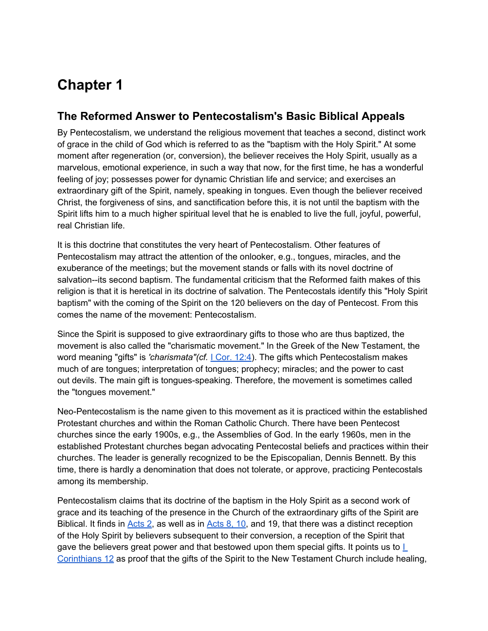# **Chapter 1**

#### **The Reformed Answer to Pentecostalism's Basic Biblical Appeals**

By Pentecostalism, we understand the religious movement that teaches a second, distinct work of grace in the child of God which is referred to as the "baptism with the Holy Spirit." At some moment after regeneration (or, conversion), the believer receives the Holy Spirit, usually as a marvelous, emotional experience, in such a way that now, for the first time, he has a wonderful feeling of joy; possesses power for dynamic Christian life and service; and exercises an extraordinary gift of the Spirit, namely, speaking in tongues. Even though the believer received Christ, the forgiveness of sins, and sanctification before this, it is not until the baptism with the Spirit lifts him to a much higher spiritual level that he is enabled to live the full, joyful, powerful, real Christian life.

It is this doctrine that constitutes the very heart of Pentecostalism. Other features of Pentecostalism may attract the attention of the onlooker, e.g., tongues, miracles, and the exuberance of the meetings; but the movement stands or falls with its novel doctrine of salvation--its second baptism. The fundamental criticism that the Reformed faith makes of this religion is that it is heretical in its doctrine of salvation. The Pentecostals identify this "Holy Spirit baptism" with the coming of the Spirit on the 120 believers on the day of Pentecost. From this comes the name of the movement: Pentecostalism.

Since the Spirit is supposed to give extraordinary gifts to those who are thus baptized, the movement is also called the "charismatic movement." In the Greek of the New Testament, the word meaning "gifts" is *'charismata"(cf.* [I](http://bible.gospelcom.net/bible?version=KJV&passage=I+Cor+12:4) [Cor. 12:4\)](http://bible.gospelcom.net/bible?version=KJV&passage=I+Cor+12:4). The gifts which Pentecostalism makes much of are tongues; interpretation of tongues; prophecy; miracles; and the power to cast out devils. The main gift is tongues-speaking. Therefore, the movement is sometimes called the "tongues movement."

Neo-Pentecostalism is the name given to this movement as it is practiced within the established Protestant churches and within the Roman Catholic Church. There have been Pentecost churches since the early 1900s, e.g., the Assemblies of God. In the early 1960s, men in the established Protestant churches began advocating Pentecostal beliefs and practices within their churches. The leader is generally recognized to be the Episcopalian, Dennis Bennett. By this time, there is hardly a denomination that does not tolerate, or approve, practicing Pentecostals among its membership.

Pentecostalism claims that its doctrine of the baptism in the Holy Spirit as a second work of grace and its teaching of the presence in the Church of the extraordinary gifts of the Spirit are Biblical. It finds in [Acts 2,](http://bible.gospelcom.net/bible?version=KJV&passage=Acts+2) as well as in [Acts 8, 10,](http://bible.gospelcom.net/bible?version=KJV&passage=Acts+8+,10) and 19, that there was a distinct reception of the Holy Spirit by believers subsequent to their conversion, a reception of the Spirit that gave the believers great power and that bestowed upon them special gifts. [I](http://bible.gospelcom.net/bible?version=KJV&passage=I+Corinthians+12)t points us to  $L$ [Corinthians 12](http://bible.gospelcom.net/bible?version=KJV&passage=I+Corinthians+12) as proof that the gifts of the Spirit to the New Testament Church include healing,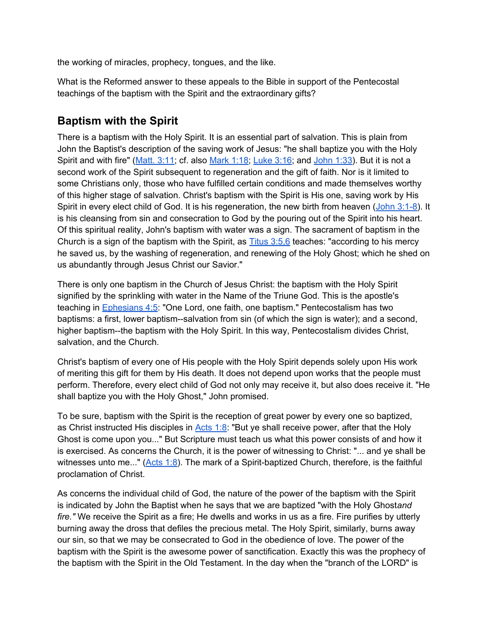the working of miracles, prophecy, tongues, and the like.

What is the Reformed answer to these appeals to the Bible in support of the Pentecostal teachings of the baptism with the Spirit and the extraordinary gifts?

#### **Baptism with the Spirit**

There is a baptism with the Holy Spirit. It is an essential part of salvation. This is plain from John the Baptist's description of the saving work of Jesus: "he shall baptize you with the Holy Spirit and with fire" ([Matt. 3:11;](http://bible.gospelcom.net/bible?version=KJV&passage=Matt+3:11) cf. also [Mark 1:18;](http://bible.gospelcom.net/bible?version=KJV&passage=Mark+1:18) [Luke 3:16](http://bible.gospelcom.net/bible?version=KJV&passage=Luke+3:16); and [John 1:33](http://bible.gospelcom.net/bible?version=KJV&passage=John+1:33)). But it is not a second work of the Spirit subsequent to regeneration and the gift of faith. Nor is it limited to some Christians only, those who have fulfilled certain conditions and made themselves worthy of this higher stage of salvation. Christ's baptism with the Spirit is His one, saving work by His Spirit in every elect child of God. It is his regeneration, the new birth from heaven ([John 3:1-8\)](http://bible.gospelcom.net/bible?version=KJV&passage=John+3:1-8). It is his cleansing from sin and consecration to God by the pouring out of the Spirit into his heart. Of this spiritual reality, John's baptism with water was a sign. The sacrament of baptism in the Church is a sign of the baptism with the Spirit, as [Titus 3:5,6](http://bible.gospelcom.net/bible?version=KJV&passage=Titus+3:5,6) teaches: "according to his mercy he saved us, by the washing of regeneration, and renewing of the Holy Ghost; which he shed on us abundantly through Jesus Christ our Savior."

There is only one baptism in the Church of Jesus Christ: the baptism with the Holy Spirit signified by the sprinkling with water in the Name of the Triune God. This is the apostle's teaching in [Ephesians 4:5:](http://bible.gospelcom.net/bible?version=KJV&passage=Ephesians+4:5) "One Lord, one faith, one baptism." Pentecostalism has two baptisms: a first, lower baptism--salvation from sin (of which the sign is water); and a second, higher baptism--the baptism with the Holy Spirit. In this way, Pentecostalism divides Christ, salvation, and the Church.

Christ's baptism of every one of His people with the Holy Spirit depends solely upon His work of meriting this gift for them by His death. It does not depend upon works that the people must perform. Therefore, every elect child of God not only may receive it, but also does receive it. "He shall baptize you with the Holy Ghost," John promised.

To be sure, baptism with the Spirit is the reception of great power by every one so baptized, as Christ instructed His disciples in  $\frac{\text{Acts} 1:8}{1:8}$ . "But ye shall receive power, after that the Holy Ghost is come upon you..." But Scripture must teach us what this power consists of and how it is exercised. As concerns the Church, it is the power of witnessing to Christ: "... and ye shall be witnesses unto me..." ([Acts 1:8\)](http://bible.gospelcom.net/bible?version=KJV&passage=Acts+1:8). The mark of a Spirit-baptized Church, therefore, is the faithful proclamation of Christ.

As concerns the individual child of God, the nature of the power of the baptism with the Spirit is indicated by John the Baptist when he says that we are baptized "with the Holy Ghost*and fire."* We receive the Spirit as a fire; He dwells and works in us as a fire. Fire purifies by utterly burning away the dross that defiles the precious metal. The Holy Spirit, similarly, burns away our sin, so that we may be consecrated to God in the obedience of love. The power of the baptism with the Spirit is the awesome power of sanctification. Exactly this was the prophecy of the baptism with the Spirit in the Old Testament. In the day when the "branch of the LORD" is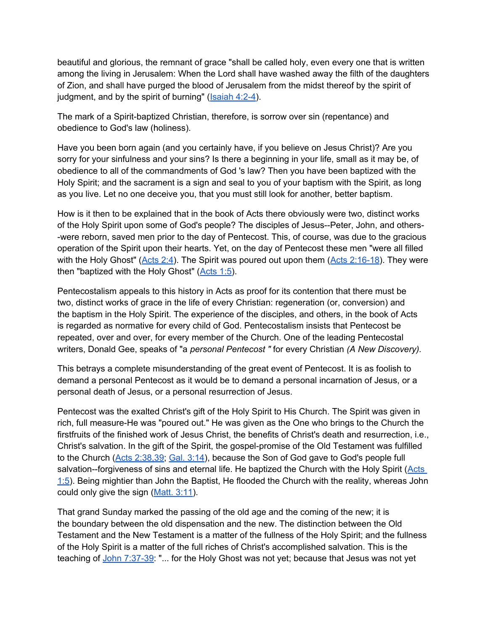beautiful and glorious, the remnant of grace "shall be called holy, even every one that is written among the living in Jerusalem: When the Lord shall have washed away the filth of the daughters of Zion, and shall have purged the blood of Jerusalem from the midst thereof by the spirit of judgment, and by the spirit of burning" ([Isaiah 4:2-4](http://bible.gospelcom.net/bible?version=KJV&passage=Isaiah+4:2-4)).

The mark of a Spirit-baptized Christian, therefore, is sorrow over sin (repentance) and obedience to God's law (holiness).

Have you been born again (and you certainly have, if you believe on Jesus Christ)? Are you sorry for your sinfulness and your sins? Is there a beginning in your life, small as it may be, of obedience to all of the commandments of God 's law? Then you have been baptized with the Holy Spirit; and the sacrament is a sign and seal to you of your baptism with the Spirit, as long as you live. Let no one deceive you, that you must still look for another, better baptism.

How is it then to be explained that in the book of Acts there obviously were two, distinct works of the Holy Spirit upon some of God's people? The disciples of Jesus--Peter, John, and others- -were reborn, saved men prior to the day of Pentecost. This, of course, was due to the gracious operation of the Spirit upon their hearts. Yet, on the day of Pentecost these men "were all filled with the Holy Ghost" ([Acts 2:4\)](http://bible.gospelcom.net/bible?version=KJV&passage=Acts+2:4). The Spirit was poured out upon them ([Acts 2:16-18](http://bible.gospelcom.net/bible?version=KJV&passage=Acts+2:16-18)). They were then "baptized with the Holy Ghost"  $(Acts 1:5)$  $(Acts 1:5)$ .

Pentecostalism appeals to this history in Acts as proof for its contention that there must be two, distinct works of grace in the life of every Christian: regeneration (or, conversion) and the baptism in the Holy Spirit. The experience of the disciples, and others, in the book of Acts is regarded as normative for every child of God. Pentecostalism insists that Pentecost be repeated, over and over, for every member of the Church. One of the leading Pentecostal writers, Donald Gee, speaks of "a *personal Pentecost "* for every Christian *(A New Discovery).*

This betrays a complete misunderstanding of the great event of Pentecost. It is as foolish to demand a personal Pentecost as it would be to demand a personal incarnation of Jesus, or a personal death of Jesus, or a personal resurrection of Jesus.

Pentecost was the exalted Christ's gift of the Holy Spirit to His Church. The Spirit was given in rich, full measure-He was "poured out." He was given as the One who brings to the Church the firstfruits of the finished work of Jesus Christ, the benefits of Christ's death and resurrection, i.e., Christ's salvation. In the gift of the Spirit, the gospel-promise of the Old Testament was fulfilled to the Church ([Acts 2:38,39;](http://bible.gospelcom.net/bible?version=KJV&passage=Acts+2:38,39) [Gal. 3:14\)](http://bible.gospelcom.net/bible?version=KJV&passage=Gal+3:14), because the Son of God gave to God's people full salvation--forgiveness of sins and eternal life. He baptized the Church with the Holy Spirit ([Acts](http://bible.gospelcom.net/bible?version=KJV&passage=Acts+1:5) [1:5](http://bible.gospelcom.net/bible?version=KJV&passage=Acts+1:5)). Being mightier than John the Baptist, He flooded the Church with the reality, whereas John could only give the sign ([Matt. 3:11\)](http://bible.gospelcom.net/bible?version=KJV&passage=Matt+3:11).

That grand Sunday marked the passing of the old age and the coming of the new; it is the boundary between the old dispensation and the new. The distinction between the Old Testament and the New Testament is a matter of the fullness of the Holy Spirit; and the fullness of the Holy Spirit is a matter of the full riches of Christ's accomplished salvation. This is the teaching of [John 7:37-39](http://bible.gospelcom.net/bible?version=KJV&passage=John+7:37-39): "... for the Holy Ghost was not yet; because that Jesus was not yet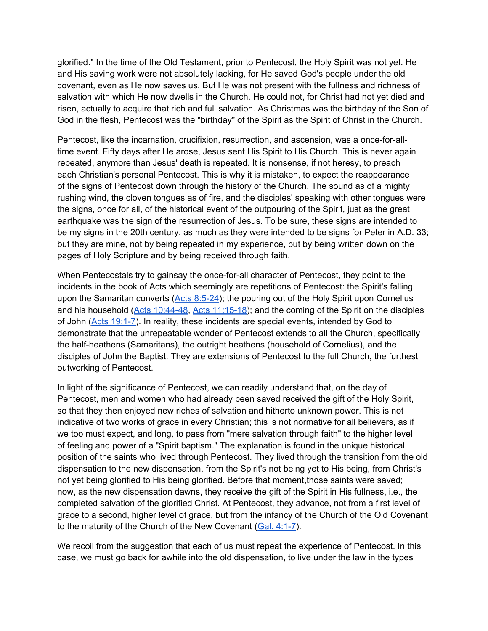glorified." In the time of the Old Testament, prior to Pentecost, the Holy Spirit was not yet. He and His saving work were not absolutely lacking, for He saved God's people under the old covenant, even as He now saves us. But He was not present with the fullness and richness of salvation with which He now dwells in the Church. He could not, for Christ had not yet died and risen, actually to acquire that rich and full salvation. As Christmas was the birthday of the Son of God in the flesh, Pentecost was the "birthday" of the Spirit as the Spirit of Christ in the Church.

Pentecost, like the incarnation, crucifixion, resurrection, and ascension, was a once-for-alltime event. Fifty days after He arose, Jesus sent His Spirit to His Church. This is never again repeated, anymore than Jesus' death is repeated. It is nonsense, if not heresy, to preach each Christian's personal Pentecost. This is why it is mistaken, to expect the reappearance of the signs of Pentecost down through the history of the Church. The sound as of a mighty rushing wind, the cloven tongues as of fire, and the disciples' speaking with other tongues were the signs, once for all, of the historical event of the outpouring of the Spirit, just as the great earthquake was the sign of the resurrection of Jesus. To be sure, these signs are intended to be my signs in the 20th century, as much as they were intended to be signs for Peter in A.D. 33; but they are mine, not by being repeated in my experience, but by being written down on the pages of Holy Scripture and by being received through faith.

When Pentecostals try to gainsay the once-for-all character of Pentecost, they point to the incidents in the book of Acts which seemingly are repetitions of Pentecost: the Spirit's falling upon the Samaritan converts  $(Acts 8:5-24)$  $(Acts 8:5-24)$ ; the pouring out of the Holy Spirit upon Cornelius and his household ([Acts 10:44-48,](http://bible.gospelcom.net/bible?version=KJV&passage=Acts+10:44-48) [Acts 11:15-18\)](http://bible.gospelcom.net/bible?version=KJV&passage=Acts+11:15-18); and the coming of the Spirit on the disciples of John ([Acts 19:1-7](http://bible.gospelcom.net/bible?version=KJV&passage=Acts+19:1-7)). In reality, these incidents are special events, intended by God to demonstrate that the unrepeatable wonder of Pentecost extends to all the Church, specifically the half-heathens (Samaritans), the outright heathens (household of Cornelius), and the disciples of John the Baptist. They are extensions of Pentecost to the full Church, the furthest outworking of Pentecost.

In light of the significance of Pentecost, we can readily understand that, on the day of Pentecost, men and women who had already been saved received the gift of the Holy Spirit, so that they then enjoyed new riches of salvation and hitherto unknown power. This is not indicative of two works of grace in every Christian; this is not normative for all believers, as if we too must expect, and long, to pass from "mere salvation through faith" to the higher level of feeling and power of a "Spirit baptism." The explanation is found in the unique historical position of the saints who lived through Pentecost. They lived through the transition from the old dispensation to the new dispensation, from the Spirit's not being yet to His being, from Christ's not yet being glorified to His being glorified. Before that moment, those saints were saved; now, as the new dispensation dawns, they receive the gift of the Spirit in His fullness, i.e., the completed salvation of the glorified Christ. At Pentecost, they advance, not from a first level of grace to a second, higher level of grace, but from the infancy of the Church of the Old Covenant to the maturity of the Church of the New Covenant [\(Gal. 4:1-7\)](http://bible.gospelcom.net/bible?version=KJV&passage=Gal+4:1-7).

We recoil from the suggestion that each of us must repeat the experience of Pentecost. In this case, we must go back for awhile into the old dispensation, to live under the law in the types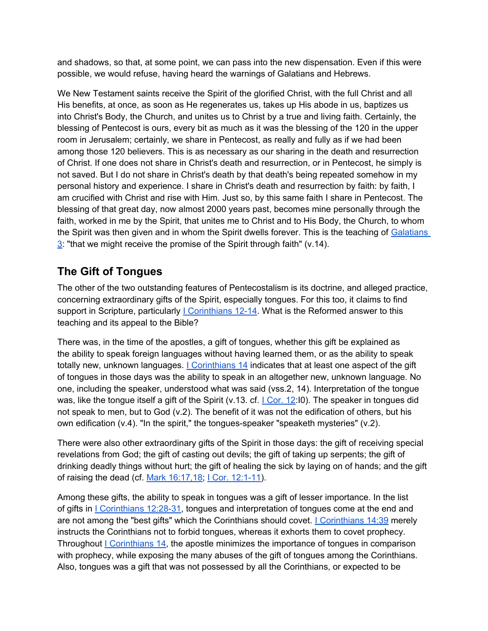and shadows, so that, at some point, we can pass into the new dispensation. Even if this were possible, we would refuse, having heard the warnings of Galatians and Hebrews.

We New Testament saints receive the Spirit of the glorified Christ, with the full Christ and all His benefits, at once, as soon as He regenerates us, takes up His abode in us, baptizes us into Christ's Body, the Church, and unites us to Christ by a true and living faith. Certainly, the blessing of Pentecost is ours, every bit as much as it was the blessing of the 120 in the upper room in Jerusalem; certainly, we share in Pentecost, as really and fully as if we had been among those 120 believers. This is as necessary as our sharing in the death and resurrection of Christ. If one does not share in Christ's death and resurrection, or in Pentecost, he simply is not saved. But I do not share in Christ's death by that death's being repeated somehow in my personal history and experience. I share in Christ's death and resurrection by faith: by faith, I am crucified with Christ and rise with Him. Just so, by this same faith I share in Pentecost. The blessing of that great day, now almost 2000 years past, becomes mine personally through the faith, worked in me by the Spirit, that unites me to Christ and to His Body, the Church, to whom the Spirit was then given and in whom the Spirit dwells forever. This is the teaching of [Galatians](http://bible.gospelcom.net/bible?version=KJV&passage=Galatians+3)  $\frac{3}{2}$  $\frac{3}{2}$  $\frac{3}{2}$ : "that we might receive the promise of the Spirit through faith" (v.14).

### **The Gift of Tongues**

The other of the two outstanding features of Pentecostalism is its doctrine, and alleged practice, concerning extraordinary gifts of the Spirit, especially tongues. For this too, it claims to find support in Scripture, particularly *L* [Corinthians 12-14.](http://bible.gospelcom.net/bible?version=KJV&passage=I+Corinthians+12+-14) What is the Reformed answer to this teaching and its appeal to the Bible?

There was, in the time of the apostles, a gift of tongues, whether this gift be explained as the ability to speak foreign languages without having learned them, or as the ability to speak totally new, unknown languages. [I](http://bible.gospelcom.net/bible?version=KJV&passage=I+Corinthians+14) [Corinthians 14](http://bible.gospelcom.net/bible?version=KJV&passage=I+Corinthians+14) indicates that at least one aspect of the gift of tongues in those days was the ability to speak in an altogether new, unknown language. No one, including the speaker, understood what was said (vss.2, 14). Interpretation of the tongue was, like the tongue itself a gift of the Spirit (v.13. cf.  $\vert$  Cor. 12:[I](http://bible.gospelcom.net/bible?version=KJV&passage=I+Cor+12)0). The speaker in tongues did not speak to men, but to God (v.2). The benefit of it was not the edification of others, but his own edification  $(v.4)$ . "In the spirit," the tongues-speaker "speaketh mysteries"  $(v.2)$ .

There were also other extraordinary gifts of the Spirit in those days: the gift of receiving special revelations from God; the gift of casting out devils; the gift of taking up serpents; the gift of drinking deadly things without hurt; the gift of healing the sick by laying on of hands; and the gift of raising the dead (cf. [Mark 16:17,18](http://bible.gospelcom.net/bible?version=KJV&passage=Mark+16:17,18); [I](http://bible.gospelcom.net/bible?version=KJV&passage=I+Cor+12:1-11) [Cor. 12:1-11\)](http://bible.gospelcom.net/bible?version=KJV&passage=I+Cor+12:1-11).

Among these gifts, the ability to speak in tongues was a gift of lesser importance. In the list of gifts in *L* [Corinthians 12:28-31](http://bible.gospelcom.net/bible?version=KJV&passage=I+Corinthians+12:28-31), tongues and interpretation of tongues come at the end and are not among the "best gifts" which the Corinthians should covet. *Lecorinthians* 14:39 merely instructs the Corinthians not to forbid tongues, whereas it exhorts them to covet prophecy. Throughout  $I$  [Corinthians 14](http://bible.gospelcom.net/bible?version=KJV&passage=I+Corinthians+14), the apostle minimizes the importance of tongues in comparison with prophecy, while exposing the many abuses of the gift of tongues among the Corinthians. Also, tongues was a gift that was not possessed by all the Corinthians, or expected to be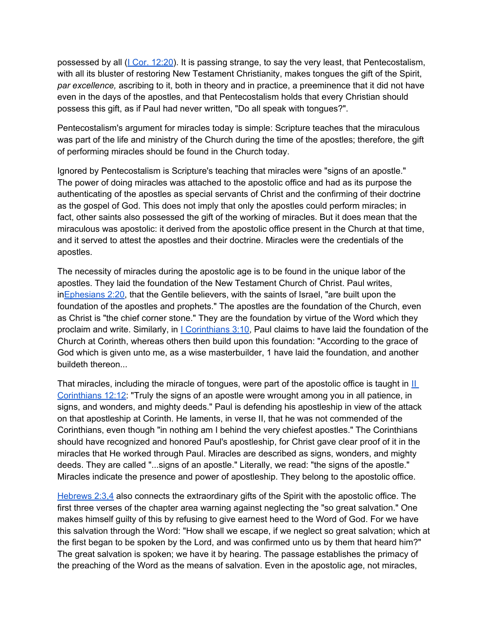possessed by all ([I](http://bible.gospelcom.net/bible?version=KJV&passage=I+Cor+12:20) [Cor. 12:20\)](http://bible.gospelcom.net/bible?version=KJV&passage=I+Cor+12:20). It is passing strange, to say the very least, that Pentecostalism, with all its bluster of restoring New Testament Christianity, makes tongues the gift of the Spirit, *par excellence,* ascribing to it, both in theory and in practice, a preeminence that it did not have even in the days of the apostles, and that Pentecostalism holds that every Christian should possess this gift, as if Paul had never written, "Do all speak with tongues?".

Pentecostalism's argument for miracles today is simple: Scripture teaches that the miraculous was part of the life and ministry of the Church during the time of the apostles; therefore, the gift of performing miracles should be found in the Church today.

Ignored by Pentecostalism is Scripture's teaching that miracles were "signs of an apostle." The power of doing miracles was attached to the apostolic office and had as its purpose the authenticating of the apostles as special servants of Christ and the confirming of their doctrine as the gospel of God. This does not imply that only the apostles could perform miracles; in fact, other saints also possessed the gift of the working of miracles. But it does mean that the miraculous was apostolic: it derived from the apostolic office present in the Church at that time, and it served to attest the apostles and their doctrine. Miracles were the credentials of the apostles.

The necessity of miracles during the apostolic age is to be found in the unique labor of the apostles. They laid the foundation of the New Testament Church of Christ. Paul writes, in[Ephesians 2:20](http://bible.gospelcom.net/bible?version=KJV&passage=Ephesians+2:20), that the Gentile believers, with the saints of Israel, "are built upon the foundation of the apostles and prophets." The apostles are the foundation of the Church, even as Christ is "the chief corner stone." They are the foundation by virtue of the Word which they proclaim and write. Similarly, in [I](http://bible.gospelcom.net/bible?version=KJV&passage=I+Corinthians+3:10) [Corinthians 3:10,](http://bible.gospelcom.net/bible?version=KJV&passage=I+Corinthians+3:10) Paul claims to have laid the foundation of the Church at Corinth, whereas others then build upon this foundation: "According to the grace of God which is given unto me, as a wise masterbuilder, 1 have laid the foundation, and another buildeth thereon...

That miracles, including the miracle of tongues, were part of the apostolic office is taught in  $II$ [Corinthians 12:12](http://bible.gospelcom.net/bible?version=KJV&passage=II+Corinthians+12:12): "Truly the signs of an apostle were wrought among you in all patience, in signs, and wonders, and mighty deeds." Paul is defending his apostleship in view of the attack on that apostleship at Corinth. He laments, in verse II, that he was not commended of the Corinthians, even though "in nothing am I behind the very chiefest apostles." The Corinthians should have recognized and honored Paul's apostleship, for Christ gave clear proof of it in the miracles that He worked through Paul. Miracles are described as signs, wonders, and mighty deeds. They are called "...signs of an apostle." Literally, we read: "the signs of the apostle." Miracles indicate the presence and power of apostleship. They belong to the apostolic office.

[Hebrews 2:3,4](http://bible.gospelcom.net/bible?version=KJV&passage=Hebrews+2:3,4) also connects the extraordinary gifts of the Spirit with the apostolic office. The first three verses of the chapter area warning against neglecting the "so great salvation." One makes himself guilty of this by refusing to give earnest heed to the Word of God. For we have this salvation through the Word: "How shall we escape, if we neglect so great salvation; which at the first began to be spoken by the Lord, and was confirmed unto us by them that heard him?" The great salvation is spoken; we have it by hearing. The passage establishes the primacy of the preaching of the Word as the means of salvation. Even in the apostolic age, not miracles,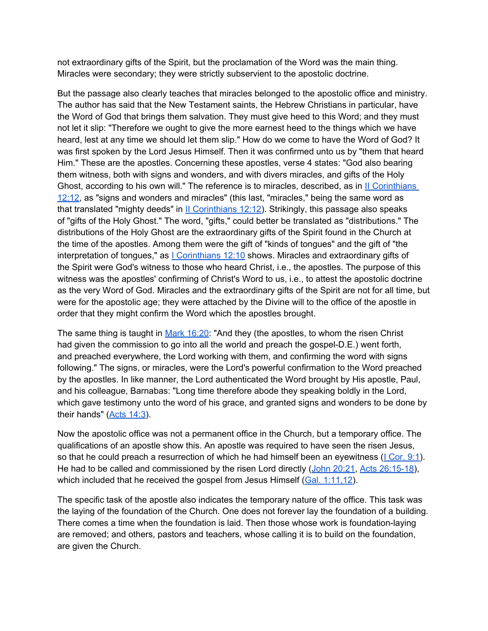not extraordinary gifts of the Spirit, but the proclamation of the Word was the main thing. Miracles were secondary; they were strictly subservient to the apostolic doctrine.

But the passage also clearly teaches that miracles belonged to the apostolic office and ministry. The author has said that the New Testament saints, the Hebrew Christians in particular, have the Word of God that brings them salvation. They must give heed to this Word; and they must not let it slip: "Therefore we ought to give the more earnest heed to the things which we have heard, lest at any time we should let them slip." How do we come to have the Word of God? It was first spoken by the Lord Jesus Himself. Then it was confirmed unto us by "them that heard Him." These are the apostles. Concerning these apostles, verse 4 states: "God also bearing them witness, both with signs and wonders, and with divers miracles, and gifts of the Holy Ghost, according to his own will." The reference is to miracles, described, as in [II](http://bible.gospelcom.net/bible?version=KJV&passage=II+Corinthians+12:12) [Corinthians](http://bible.gospelcom.net/bible?version=KJV&passage=II+Corinthians+12:12) [12:12,](http://bible.gospelcom.net/bible?version=KJV&passage=II+Corinthians+12:12) as "signs and wonders and miracles" (this last, "miracles," being the same word as that translated "mighty deeds" in  $II$  [Corinthians 12:12](http://bible.gospelcom.net/bible?version=KJV&passage=II+Corinthians+12:12)). Strikingly, this passage also speaks of "gifts of the Holy Ghost." The word, "gifts," could better be translated as "distributions." The distributions of the Holy Ghost are the extraordinary gifts of the Spirit found in the Church at the time of the apostles. Among them were the gift of "kinds of tongues" and the gift of "the interpretation of tongues," as  $|$  [Corinthians 12:10](http://bible.gospelcom.net/bible?version=KJV&passage=I+Corinthians+12:10) shows. Miracles and extraordinary gifts of the Spirit were God's witness to those who heard Christ, i.e., the apostles. The purpose of this witness was the apostles' confirming of Christ's Word to us, i.e., to attest the apostolic doctrine as the very Word of God. Miracles and the extraordinary gifts of the Spirit are not for all time, but were for the apostolic age; they were attached by the Divine will to the office of the apostle in order that they might confirm the Word which the apostles brought.

The same thing is taught in [Mark 16:20](http://bible.gospelcom.net/bible?version=KJV&passage=Mark+16:20): "And they (the apostles, to whom the risen Christ had given the commission to go into all the world and preach the gospel-D.E.) went forth, and preached everywhere, the Lord working with them, and confirming the word with signs following." The signs, or miracles, were the Lord's powerful confirmation to the Word preached by the apostles. In like manner, the Lord authenticated the Word brought by His apostle, Paul, and his colleague, Barnabas: "Long time therefore abode they speaking boldly in the Lord, which gave testimony unto the word of his grace, and granted signs and wonders to be done by their hands" ([Acts 14:3\)](http://bible.gospelcom.net/bible?version=KJV&passage=Acts+14:3).

Now the apostolic office was not a permanent office in the Church, but a temporary office. The qualifications of an apostle show this. An apostle was required to have seen the risen Jesus, so that he could preach a resurrection of which he had himself been an eyewitness ( $\lfloor$  [Cor. 9:1\)](http://bible.gospelcom.net/bible?version=KJV&passage=I+Cor+9:1). He had to be called and commissioned by the risen Lord directly ([John 20:21,](http://bible.gospelcom.net/bible?version=KJV&passage=John+20:21) [Acts 26:15-18\)](http://bible.gospelcom.net/bible?version=KJV&passage=Acts+26:15-18), which included that he received the gospel from Jesus Himself ( $Gal. 1:11,12$ ).

The specific task of the apostle also indicates the temporary nature of the office. This task was the laying of the foundation of the Church. One does not forever lay the foundation of a building. There comes a time when the foundation is laid. Then those whose work is foundation-laying are removed; and others, pastors and teachers, whose calling it is to build on the foundation, are given the Church.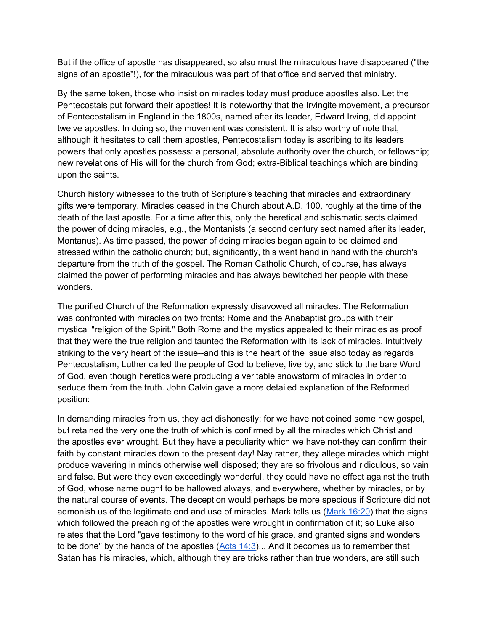But if the office of apostle has disappeared, so also must the miraculous have disappeared ("the signs of an apostle"!), for the miraculous was part of that office and served that ministry.

By the same token, those who insist on miracles today must produce apostles also. Let the Pentecostals put forward their apostles! It is noteworthy that the Irvingite movement, a precursor of Pentecostalism in England in the 1800s, named after its leader, Edward Irving, did appoint twelve apostles. In doing so, the movement was consistent. It is also worthy of note that, although it hesitates to call them apostles, Pentecostalism today is ascribing to its leaders powers that only apostles possess: a personal, absolute authority over the church, or fellowship; new revelations of His will for the church from God; extra-Biblical teachings which are binding upon the saints.

Church history witnesses to the truth of Scripture's teaching that miracles and extraordinary gifts were temporary. Miracles ceased in the Church about A.D. 100, roughly at the time of the death of the last apostle. For a time after this, only the heretical and schismatic sects claimed the power of doing miracles, e.g., the Montanists (a second century sect named after its leader, Montanus). As time passed, the power of doing miracles began again to be claimed and stressed within the catholic church; but, significantly, this went hand in hand with the church's departure from the truth of the gospel. The Roman Catholic Church, of course, has always claimed the power of performing miracles and has always bewitched her people with these wonders.

The purified Church of the Reformation expressly disavowed all miracles. The Reformation was confronted with miracles on two fronts: Rome and the Anabaptist groups with their mystical "religion of the Spirit." Both Rome and the mystics appealed to their miracles as proof that they were the true religion and taunted the Reformation with its lack of miracles. Intuitively striking to the very heart of the issue--and this is the heart of the issue also today as regards Pentecostalism, Luther called the people of God to believe, live by, and stick to the bare Word of God, even though heretics were producing a veritable snowstorm of miracles in order to seduce them from the truth. John Calvin gave a more detailed explanation of the Reformed position:

In demanding miracles from us, they act dishonestly; for we have not coined some new gospel, but retained the very one the truth of which is confirmed by all the miracles which Christ and the apostles ever wrought. But they have a peculiarity which we have not-they can confirm their faith by constant miracles down to the present day! Nay rather, they allege miracles which might produce wavering in minds otherwise well disposed; they are so frivolous and ridiculous, so vain and false. But were they even exceedingly wonderful, they could have no effect against the truth of God, whose name ought to be hallowed always, and everywhere, whether by miracles, or by the natural course of events. The deception would perhaps be more specious if Scripture did not admonish us of the legitimate end and use of miracles. Mark tells us [\(Mark 16:20\)](http://bible.gospelcom.net/bible?version=KJV&passage=Mark+16:20) that the signs which followed the preaching of the apostles were wrought in confirmation of it; so Luke also relates that the Lord "gave testimony to the word of his grace, and granted signs and wonders to be done" by the hands of the apostles  $(Acts 14:3)$  $(Acts 14:3)$ ... And it becomes us to remember that Satan has his miracles, which, although they are tricks rather than true wonders, are still such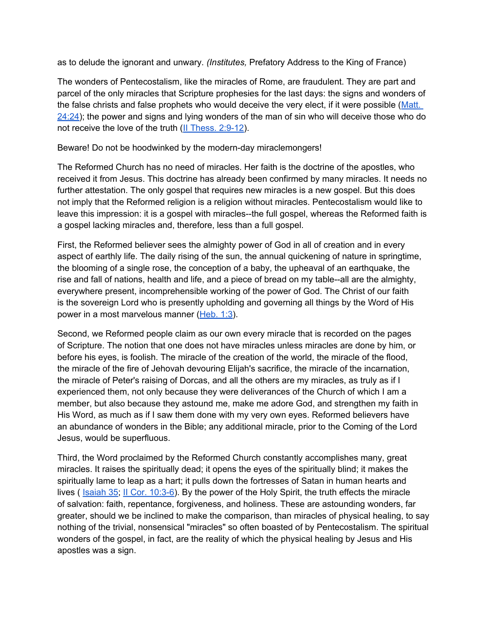as to delude the ignorant and unwary. *(Institutes,* Prefatory Address to the King of France)

The wonders of Pentecostalism, like the miracles of Rome, are fraudulent. They are part and parcel of the only miracles that Scripture prophesies for the last days: the signs and wonders of the false christs and false prophets who would deceive the very elect, if it were possible (Matt.  $24:24$ ); the power and signs and lying wonders of the man of sin who will deceive those who do not receive the love of the truth ([II](http://bible.gospelcom.net/bible?version=KJV&passage=II+Thess+2:9-12) [Thess. 2:9-12](http://bible.gospelcom.net/bible?version=KJV&passage=II+Thess+2:9-12)).

Beware! Do not be hoodwinked by the modern-day miraclemongers!

The Reformed Church has no need of miracles. Her faith is the doctrine of the apostles, who received it from Jesus. This doctrine has already been confirmed by many miracles. It needs no further attestation. The only gospel that requires new miracles is a new gospel. But this does not imply that the Reformed religion is a religion without miracles. Pentecostalism would like to leave this impression: it is a gospel with miracles--the full gospel, whereas the Reformed faith is a gospel lacking miracles and, therefore, less than a full gospel.

First, the Reformed believer sees the almighty power of God in all of creation and in every aspect of earthly life. The daily rising of the sun, the annual quickening of nature in springtime, the blooming of a single rose, the conception of a baby, the upheaval of an earthquake, the rise and fall of nations, health and life, and a piece of bread on my table--all are the almighty, everywhere present, incomprehensible working of the power of God. The Christ of our faith is the sovereign Lord who is presently upholding and governing all things by the Word of His power in a most marvelous manner ([Heb. 1:3](http://bible.gospelcom.net/bible?version=KJV&passage=Heb+1:3)).

Second, we Reformed people claim as our own every miracle that is recorded on the pages of Scripture. The notion that one does not have miracles unless miracles are done by him, or before his eyes, is foolish. The miracle of the creation of the world, the miracle of the flood, the miracle of the fire of Jehovah devouring Elijah's sacrifice, the miracle of the incarnation, the miracle of Peter's raising of Dorcas, and all the others are my miracles, as truly as if I experienced them, not only because they were deliverances of the Church of which I am a member, but also because they astound me, make me adore God, and strengthen my faith in His Word, as much as if I saw them done with my very own eyes. Reformed believers have an abundance of wonders in the Bible; any additional miracle, prior to the Coming of the Lord Jesus, would be superfluous.

Third, the Word proclaimed by the Reformed Church constantly accomplishes many, great miracles. It raises the spiritually dead; it opens the eyes of the spiritually blind; it makes the spiritually lame to leap as a hart; it pulls down the fortresses of Satan in human hearts and lives ( [Isaiah 35](http://bible.gospelcom.net/bible?version=KJV&passage=Isaiah+35); [II](http://bible.gospelcom.net/bible?version=KJV&passage=II+Cor+10:3-6) [Cor. 10:3-6\)](http://bible.gospelcom.net/bible?version=KJV&passage=II+Cor+10:3-6). By the power of the Holy Spirit, the truth effects the miracle of salvation: faith, repentance, forgiveness, and holiness. These are astounding wonders, far greater, should we be inclined to make the comparison, than miracles of physical healing, to say nothing of the trivial, nonsensical "miracles" so often boasted of by Pentecostalism. The spiritual wonders of the gospel, in fact, are the reality of which the physical healing by Jesus and His apostles was a sign.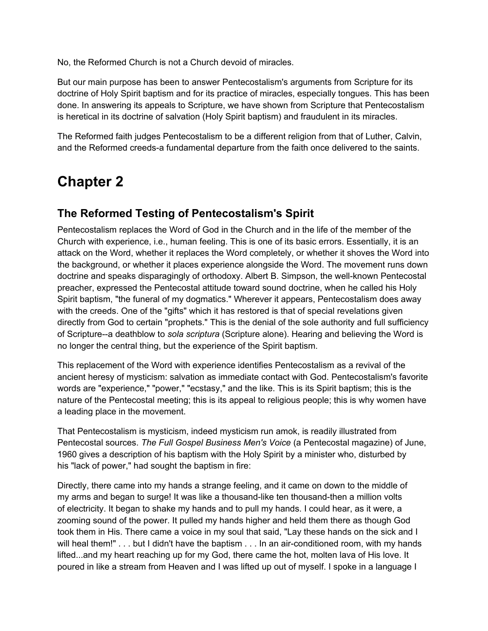<span id="page-13-0"></span>No, the Reformed Church is not a Church devoid of miracles.

But our main purpose has been to answer Pentecostalism's arguments from Scripture for its doctrine of Holy Spirit baptism and for its practice of miracles, especially tongues. This has been done. In answering its appeals to Scripture, we have shown from Scripture that Pentecostalism is heretical in its doctrine of salvation (Holy Spirit baptism) and fraudulent in its miracles.

The Reformed faith judges Pentecostalism to be a different religion from that of Luther, Calvin, and the Reformed creeds-a fundamental departure from the faith once delivered to the saints.

# **Chapter 2**

### **The Reformed Testing of Pentecostalism's Spirit**

Pentecostalism replaces the Word of God in the Church and in the life of the member of the Church with experience, i.e., human feeling. This is one of its basic errors. Essentially, it is an attack on the Word, whether it replaces the Word completely, or whether it shoves the Word into the background, or whether it places experience alongside the Word. The movement runs down doctrine and speaks disparagingly of orthodoxy. Albert B. Simpson, the well-known Pentecostal preacher, expressed the Pentecostal attitude toward sound doctrine, when he called his Holy Spirit baptism, "the funeral of my dogmatics." Wherever it appears, Pentecostalism does away with the creeds. One of the "gifts" which it has restored is that of special revelations given directly from God to certain "prophets." This is the denial of the sole authority and full sufficiency of Scripture--a deathblow to *sola scriptura* (Scripture alone). Hearing and believing the Word is no longer the central thing, but the experience of the Spirit baptism.

This replacement of the Word with experience identifies Pentecostalism as a revival of the ancient heresy of mysticism: salvation as immediate contact with God. Pentecostalism's favorite words are "experience," "power," "ecstasy," and the like. This is its Spirit baptism; this is the nature of the Pentecostal meeting; this is its appeal to religious people; this is why women have a leading place in the movement.

That Pentecostalism is mysticism, indeed mysticism run amok, is readily illustrated from Pentecostal sources. *The Full Gospel Business Men's Voice* (a Pentecostal magazine) of June, 1960 gives a description of his baptism with the Holy Spirit by a minister who, disturbed by his "lack of power," had sought the baptism in fire:

Directly, there came into my hands a strange feeling, and it came on down to the middle of my arms and began to surge! It was like a thousand-like ten thousand-then a million volts of electricity. It began to shake my hands and to pull my hands. I could hear, as it were, a zooming sound of the power. It pulled my hands higher and held them there as though God took them in His. There came a voice in my soul that said, "Lay these hands on the sick and I will heal them!" . . . but I didn't have the baptism . . . In an air-conditioned room, with my hands lifted...and my heart reaching up for my God, there came the hot, molten lava of His love. It poured in like a stream from Heaven and I was lifted up out of myself. I spoke in a language I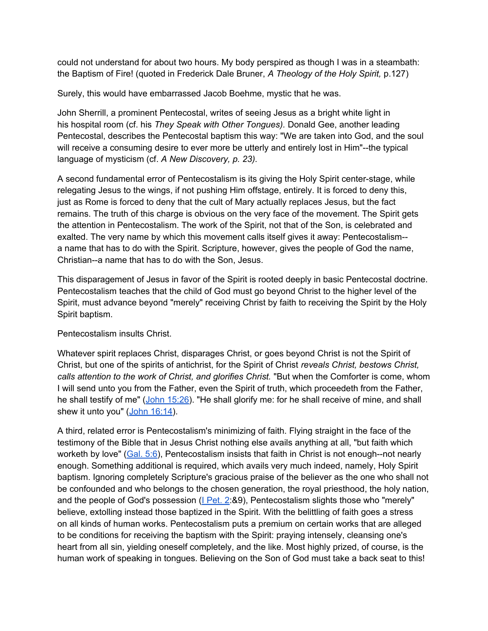could not understand for about two hours. My body perspired as though I was in a steambath: the Baptism of Fire! (quoted in Frederick Dale Bruner, *A Theology of the Holy Spirit,* p.127)

Surely, this would have embarrassed Jacob Boehme, mystic that he was.

John Sherrill, a prominent Pentecostal, writes of seeing Jesus as a bright white light in his hospital room (cf. his *They Speak with Other Tongues).* Donald Gee, another leading Pentecostal, describes the Pentecostal baptism this way: "We are taken into God, and the soul will receive a consuming desire to ever more be utterly and entirely lost in Him"--the typical language of mysticism (cf. *A New Discovery, p. 23).*

A second fundamental error of Pentecostalism is its giving the Holy Spirit center-stage, while relegating Jesus to the wings, if not pushing Him offstage, entirely. It is forced to deny this, just as Rome is forced to deny that the cult of Mary actually replaces Jesus, but the fact remains. The truth of this charge is obvious on the very face of the movement. The Spirit gets the attention in Pentecostalism. The work of the Spirit, not that of the Son, is celebrated and exalted. The very name by which this movement calls itself gives it away: Pentecostalism- a name that has to do with the Spirit. Scripture, however, gives the people of God the name, Christian--a name that has to do with the Son, Jesus.

This disparagement of Jesus in favor of the Spirit is rooted deeply in basic Pentecostal doctrine. Pentecostalism teaches that the child of God must go beyond Christ to the higher level of the Spirit, must advance beyond "merely" receiving Christ by faith to receiving the Spirit by the Holy Spirit baptism.

#### Pentecostalism insults Christ.

Whatever spirit replaces Christ, disparages Christ, or goes beyond Christ is not the Spirit of Christ, but one of the spirits of antichrist, for the Spirit of Christ *reveals Christ, bestows Christ, calls attention to the work of Christ, and glorifies Christ.* "But when the Comforter is come, whom I will send unto you from the Father, even the Spirit of truth, which proceedeth from the Father, he shall testify of me" ([John 15:26](http://bible.gospelcom.net/bible?version=KJV&passage=John+15:26)). "He shall glorify me: for he shall receive of mine, and shall shew it unto you" [\(John 16:14\)](http://bible.gospelcom.net/bible?version=KJV&passage=John+16:14).

A third, related error is Pentecostalism's minimizing of faith. Flying straight in the face of the testimony of the Bible that in Jesus Christ nothing else avails anything at all, "but faith which worketh by love" ([Gal. 5:6\)](http://bible.gospelcom.net/bible?version=KJV&passage=Gal+5:6), Pentecostalism insists that faith in Christ is not enough--not nearly enough. Something additional is required, which avails very much indeed, namely, Holy Spirit baptism. Ignoring completely Scripture's gracious praise of the believer as the one who shall not be confounded and who belongs to the chosen generation, the royal priesthood, the holy nation, and the people of God's possession  $(I$  [Pet. 2](http://bible.gospelcom.net/bible?version=KJV&passage=I+Pet+2):89), Pentecostalism slights those who "merely" believe, extolling instead those baptized in the Spirit. With the belittling of faith goes a stress on all kinds of human works. Pentecostalism puts a premium on certain works that are alleged to be conditions for receiving the baptism with the Spirit: praying intensely, cleansing one's heart from all sin, yielding oneself completely, and the like. Most highly prized, of course, is the human work of speaking in tongues. Believing on the Son of God must take a back seat to this!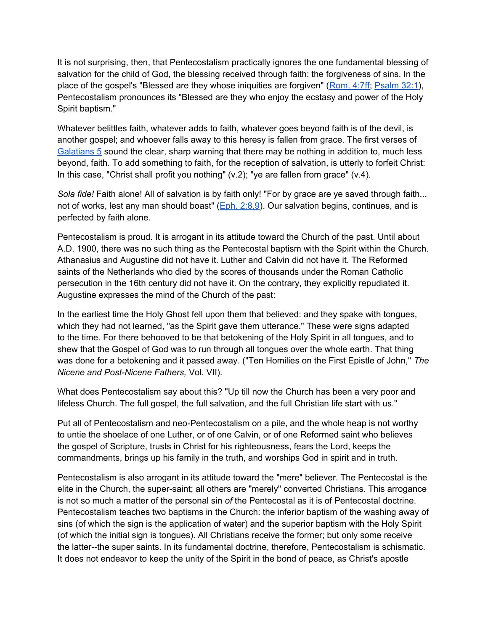It is not surprising, then, that Pentecostalism practically ignores the one fundamental blessing of salvation for the child of God, the blessing received through faith: the forgiveness of sins. In the place of the gospel's "Blessed are they whose iniquities are forgiven" [\(Rom. 4:7ff](http://bible.gospelcom.net/bible?version=KJV&passage=Rom+4:7-176); [Psalm 32:1](http://bible.gospelcom.net/bible?version=KJV&passage=Psalm+32:1)), Pentecostalism pronounces its "Blessed are they who enjoy the ecstasy and power of the Holy Spirit baptism."

Whatever belittles faith, whatever adds to faith, whatever goes beyond faith is of the devil, is another gospel; and whoever falls away to this heresy is fallen from grace. The first verses of [Galatians 5](http://bible.gospelcom.net/bible?version=KJV&passage=Galatians+5) sound the clear, sharp warning that there may be nothing in addition to, much less beyond, faith. To add something to faith, for the reception of salvation, is utterly to forfeit Christ: In this case, "Christ shall profit you nothing"  $(v.2)$ ; "ye are fallen from grace"  $(v.4)$ .

*Sola fide!* Faith alone! All of salvation is by faith only! "For by grace are ye saved through faith... not of works, lest any man should boast" ([Eph. 2:8,9\)](http://bible.gospelcom.net/bible?version=KJV&passage=Eph+2:8,9). Our salvation begins, continues, and is perfected by faith alone.

Pentecostalism is proud. It is arrogant in its attitude toward the Church of the past. Until about A.D. 1900, there was no such thing as the Pentecostal baptism with the Spirit within the Church. Athanasius and Augustine did not have it. Luther and Calvin did not have it. The Reformed saints of the Netherlands who died by the scores of thousands under the Roman Catholic persecution in the 16th century did not have it. On the contrary, they explicitly repudiated it. Augustine expresses the mind of the Church of the past:

In the earliest time the Holy Ghost fell upon them that believed: and they spake with tongues, which they had not learned, "as the Spirit gave them utterance." These were signs adapted to the time. For there behooved to be that betokening of the Holy Spirit in all tongues, and to shew that the Gospel of God was to run through all tongues over the whole earth. That thing was done for a betokening and it passed away. ("Ten Homilies on the First Epistle of John," *The Nicene and Post-Nicene Fathers,* Vol. VII).

What does Pentecostalism say about this? "Up till now the Church has been a very poor and lifeless Church. The full gospel, the full salvation, and the full Christian life start with us."

Put all of Pentecostalism and neo-Pentecostalism on a pile, and the whole heap is not worthy to untie the shoelace of one Luther, or of one Calvin, or of one Reformed saint who believes the gospel of Scripture, trusts in Christ for his righteousness, fears the Lord, keeps the commandments, brings up his family in the truth, and worships God in spirit and in truth.

Pentecostalism is also arrogant in its attitude toward the "mere" believer. The Pentecostal is the elite in the Church, the super-saint; all others are "merely" converted Christians. This arrogance is not so much a matter of the personal sin *of* the Pentecostal as it is of Pentecostal doctrine. Pentecostalism teaches two baptisms in the Church: the inferior baptism of the washing away of sins (of which the sign is the application of water) and the superior baptism with the Holy Spirit (of which the initial sign is tongues). All Christians receive the former; but only some receive the latter--the super saints. In its fundamental doctrine, therefore, Pentecostalism is schismatic. It does not endeavor to keep the unity of the Spirit in the bond of peace, as Christ's apostle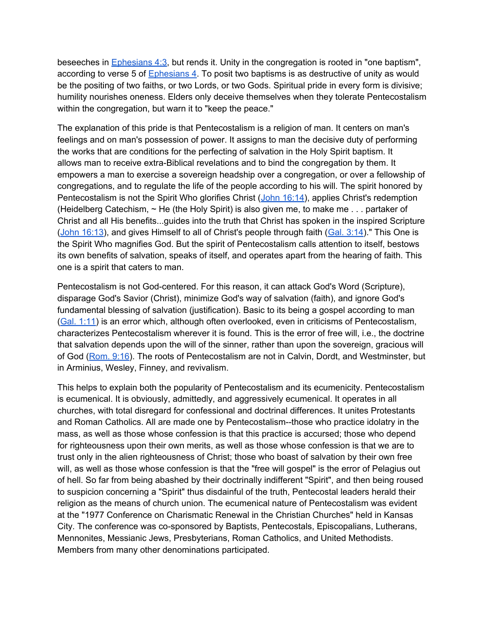beseeches in [Ephesians 4:3,](http://bible.gospelcom.net/bible?version=KJV&passage=Ephesians+4:3) but rends it. Unity in the congregation is rooted in "one baptism", according to verse 5 of [Ephesians 4.](http://bible.gospelcom.net/bible?version=KJV&passage=Ephesians+4) To posit two baptisms is as destructive of unity as would be the positing of two faiths, or two Lords, or two Gods. Spiritual pride in every form is divisive; humility nourishes oneness. Elders only deceive themselves when they tolerate Pentecostalism within the congregation, but warn it to "keep the peace."

The explanation of this pride is that Pentecostalism is a religion of man. It centers on man's feelings and on man's possession of power. It assigns to man the decisive duty of performing the works that are conditions for the perfecting of salvation in the Holy Spirit baptism. It allows man to receive extra-Biblical revelations and to bind the congregation by them. It empowers a man to exercise a sovereign headship over a congregation, or over a fellowship of congregations, and to regulate the life of the people according to his will. The spirit honored by Pentecostalism is not the Spirit Who glorifies Christ ([John 16:14\)](http://bible.gospelcom.net/bible?version=KJV&passage=John+16:14), applies Christ's redemption (Heidelberg Catechism, ~ He (the Holy Spirit) is also given me, to make me . . . partaker of Christ and all His benefits...guides into the truth that Christ has spoken in the inspired Scripture ([John 16:13](http://bible.gospelcom.net/bible?version=KJV&passage=John+16:13)), and gives Himself to all of Christ's people through faith ([Gal. 3:14](http://bible.gospelcom.net/bible?version=KJV&passage=Gal+3:14))." This One is the Spirit Who magnifies God. But the spirit of Pentecostalism calls attention to itself, bestows its own benefits of salvation, speaks of itself, and operates apart from the hearing of faith. This one is a spirit that caters to man.

Pentecostalism is not God-centered. For this reason, it can attack God's Word (Scripture), disparage God's Savior (Christ), minimize God's way of salvation (faith), and ignore God's fundamental blessing of salvation (justification). Basic to its being a gospel according to man ([Gal. 1:11](http://bible.gospelcom.net/bible?version=KJV&passage=Gal+1:11)) is an error which, although often overlooked, even in criticisms of Pentecostalism, characterizes Pentecostalism wherever it is found. This is the error of free will, i.e., the doctrine that salvation depends upon the will of the sinner, rather than upon the sovereign, gracious will of God ([Rom. 9:16](http://bible.gospelcom.net/bible?version=KJV&passage=Rom+9:16)). The roots of Pentecostalism are not in Calvin, Dordt, and Westminster, but in Arminius, Wesley, Finney, and revivalism.

This helps to explain both the popularity of Pentecostalism and its ecumenicity. Pentecostalism is ecumenical. It is obviously, admittedly, and aggressively ecumenical. It operates in all churches, with total disregard for confessional and doctrinal differences. It unites Protestants and Roman Catholics. All are made one by Pentecostalism--those who practice idolatry in the mass, as well as those whose confession is that this practice is accursed; those who depend for righteousness upon their own merits, as well as those whose confession is that we are to trust only in the alien righteousness of Christ; those who boast of salvation by their own free will, as well as those whose confession is that the "free will gospel" is the error of Pelagius out of hell. So far from being abashed by their doctrinally indifferent "Spirit", and then being roused to suspicion concerning a "Spirit" thus disdainful of the truth, Pentecostal leaders herald their religion as the means of church union. The ecumenical nature of Pentecostalism was evident at the "1977 Conference on Charismatic Renewal in the Christian Churches" held in Kansas City. The conference was co-sponsored by Baptists, Pentecostals, Episcopalians, Lutherans, Mennonites, Messianic Jews, Presbyterians, Roman Catholics, and United Methodists. Members from many other denominations participated.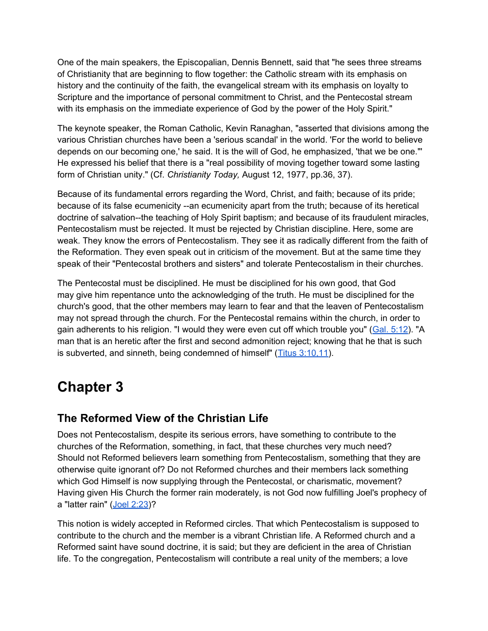<span id="page-17-0"></span>One of the main speakers, the Episcopalian, Dennis Bennett, said that "he sees three streams of Christianity that are beginning to flow together: the Catholic stream with its emphasis on history and the continuity of the faith, the evangelical stream with its emphasis on loyalty to Scripture and the importance of personal commitment to Christ, and the Pentecostal stream with its emphasis on the immediate experience of God by the power of the Holy Spirit."

The keynote speaker, the Roman Catholic, Kevin Ranaghan, "asserted that divisions among the various Christian churches have been a 'serious scandal' in the world. 'For the world to believe depends on our becoming one,' he said. It is the will of God, he emphasized, 'that we be one."' He expressed his belief that there is a "real possibility of moving together toward some lasting form of Christian unity." (Cf. *Christianity Today,* August 12, 1977, pp.36, 37).

Because of its fundamental errors regarding the Word, Christ, and faith; because of its pride; because of its false ecumenicity --an ecumenicity apart from the truth; because of its heretical doctrine of salvation--the teaching of Holy Spirit baptism; and because of its fraudulent miracles, Pentecostalism must be rejected. It must be rejected by Christian discipline. Here, some are weak. They know the errors of Pentecostalism. They see it as radically different from the faith of the Reformation. They even speak out in criticism of the movement. But at the same time they speak of their "Pentecostal brothers and sisters" and tolerate Pentecostalism in their churches.

The Pentecostal must be disciplined. He must be disciplined for his own good, that God may give him repentance unto the acknowledging of the truth. He must be disciplined for the church's good, that the other members may learn to fear and that the leaven of Pentecostalism may not spread through the church. For the Pentecostal remains within the church, in order to gain adherents to his religion. "I would they were even cut off which trouble you" [\(Gal. 5:12](http://bible.gospelcom.net/bible?version=KJV&passage=Gal+5:12)). "A man that is an heretic after the first and second admonition reject; knowing that he that is such is subverted, and sinneth, being condemned of himself" ([Titus 3:10,11](http://bible.gospelcom.net/bible?version=KJV&passage=Titus+3:10,11)).

# **Chapter 3**

### **The Reformed View of the Christian Life**

Does not Pentecostalism, despite its serious errors, have something to contribute to the churches of the Reformation, something, in fact, that these churches very much need? Should not Reformed believers learn something from Pentecostalism, something that they are otherwise quite ignorant of? Do not Reformed churches and their members lack something which God Himself is now supplying through the Pentecostal, or charismatic, movement? Having given His Church the former rain moderately, is not God now fulfilling Joel's prophecy of a "latter rain" ([Joel 2:23](http://bible.gospelcom.net/bible?version=KJV&passage=Joel+2:23))?

This notion is widely accepted in Reformed circles. That which Pentecostalism is supposed to contribute to the church and the member is a vibrant Christian life. A Reformed church and a Reformed saint have sound doctrine, it is said; but they are deficient in the area of Christian life. To the congregation, Pentecostalism will contribute a real unity of the members; a love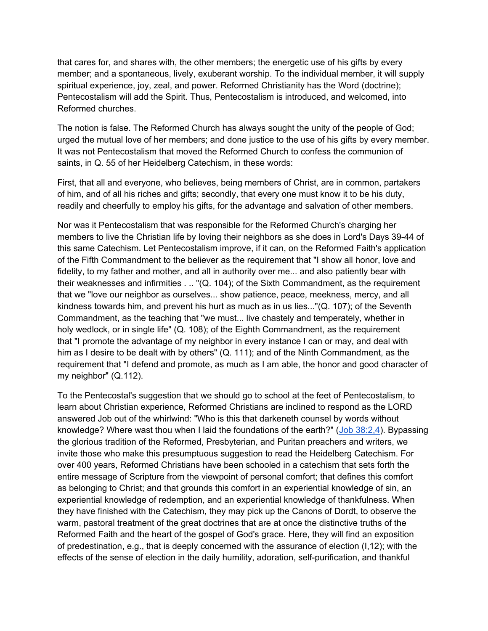that cares for, and shares with, the other members; the energetic use of his gifts by every member; and a spontaneous, lively, exuberant worship. To the individual member, it will supply spiritual experience, joy, zeal, and power. Reformed Christianity has the Word (doctrine); Pentecostalism will add the Spirit. Thus, Pentecostalism is introduced, and welcomed, into Reformed churches.

The notion is false. The Reformed Church has always sought the unity of the people of God; urged the mutual love of her members; and done justice to the use of his gifts by every member. It was not Pentecostalism that moved the Reformed Church to confess the communion of saints, in Q. 55 of her Heidelberg Catechism, in these words:

First, that all and everyone, who believes, being members of Christ, are in common, partakers of him, and of all his riches and gifts; secondly, that every one must know it to be his duty, readily and cheerfully to employ his gifts, for the advantage and salvation of other members.

Nor was it Pentecostalism that was responsible for the Reformed Church's charging her members to live the Christian life by loving their neighbors as she does in Lord's Days 39-44 of this same Catechism. Let Pentecostalism improve, if it can, on the Reformed Faith's application of the Fifth Commandment to the believer as the requirement that "I show all honor, love and fidelity, to my father and mother, and all in authority over me... and also patiently bear with their weaknesses and infirmities . .. "(Q. 104); of the Sixth Commandment, as the requirement that we "love our neighbor as ourselves... show patience, peace, meekness, mercy, and all kindness towards him, and prevent his hurt as much as in us lies..."(Q. 107); of the Seventh Commandment, as the teaching that "we must... live chastely and temperately, whether in holy wedlock, or in single life" (Q. 108); of the Eighth Commandment, as the requirement that "I promote the advantage of my neighbor in every instance I can or may, and deal with him as I desire to be dealt with by others" (Q. 111); and of the Ninth Commandment, as the requirement that "I defend and promote, as much as I am able, the honor and good character of my neighbor" (Q.112).

To the Pentecostal's suggestion that we should go to school at the feet of Pentecostalism, to learn about Christian experience, Reformed Christians are inclined to respond as the LORD answered Job out of the whirlwind: "Who is this that darkeneth counsel by words without knowledge? Where wast thou when I laid the foundations of the earth?" ([Job 38:2,4](http://bible.gospelcom.net/bible?version=KJV&passage=Job+38:2,4)). Bypassing the glorious tradition of the Reformed, Presbyterian, and Puritan preachers and writers, we invite those who make this presumptuous suggestion to read the Heidelberg Catechism. For over 400 years, Reformed Christians have been schooled in a catechism that sets forth the entire message of Scripture from the viewpoint of personal comfort; that defines this comfort as belonging to Christ; and that grounds this comfort in an experiential knowledge of sin, an experiential knowledge of redemption, and an experiential knowledge of thankfulness. When they have finished with the Catechism, they may pick up the Canons of Dordt, to observe the warm, pastoral treatment of the great doctrines that are at once the distinctive truths of the Reformed Faith and the heart of the gospel of God's grace. Here, they will find an exposition of predestination, e.g., that is deeply concerned with the assurance of election (I,12); with the effects of the sense of election in the daily humility, adoration, self-purification, and thankful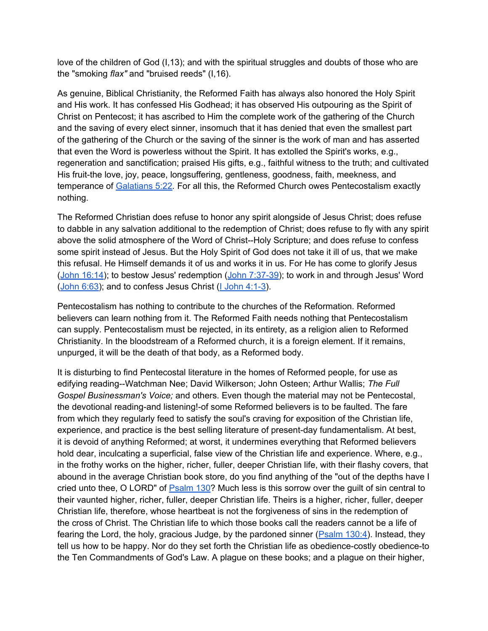love of the children of God (I,13); and with the spiritual struggles and doubts of those who are the "smoking *flax"* and "bruised reeds" (I,16).

As genuine, Biblical Christianity, the Reformed Faith has always also honored the Holy Spirit and His work. It has confessed His Godhead; it has observed His outpouring as the Spirit of Christ on Pentecost; it has ascribed to Him the complete work of the gathering of the Church and the saving of every elect sinner, insomuch that it has denied that even the smallest part of the gathering of the Church or the saving of the sinner is the work of man and has asserted that even the Word is powerless without the Spirit. It has extolled the Spirit's works, e.g., regeneration and sanctification; praised His gifts, e.g., faithful witness to the truth; and cultivated His fruit-the love, joy, peace, longsuffering, gentleness, goodness, faith, meekness, and temperance of [Galatians 5:22](http://bible.gospelcom.net/bible?version=KJV&passage=Galatians+5:22)*.* For all this, the Reformed Church owes Pentecostalism exactly nothing.

The Reformed Christian does refuse to honor any spirit alongside of Jesus Christ; does refuse to dabble in any salvation additional to the redemption of Christ; does refuse to fly with any spirit above the solid atmosphere of the Word of Christ--Holy Scripture; and does refuse to confess some spirit instead of Jesus. But the Holy Spirit of God does not take it ill of us, that we make this refusal. He Himself demands it of us and works it in us. For He has come to glorify Jesus ([John 16:14](http://bible.gospelcom.net/bible?version=KJV&passage=John+16:14)); to bestow Jesus' redemption ([John 7:37-39\)](http://bible.gospelcom.net/bible?version=KJV&passage=John+7:37-39); to work in and through Jesus' Word ([John 6:63\)](http://bible.gospelcom.net/bible?version=KJV&passage=John+6:63); and to confess Jesus Christ ([I](http://bible.gospelcom.net/bible?version=KJV&passage=I+John+4:1-3) [John 4:1-3\)](http://bible.gospelcom.net/bible?version=KJV&passage=I+John+4:1-3).

Pentecostalism has nothing to contribute to the churches of the Reformation. Reformed believers can learn nothing from it. The Reformed Faith needs nothing that Pentecostalism can supply. Pentecostalism must be rejected, in its entirety, as a religion alien to Reformed Christianity. In the bloodstream of a Reformed church, it is a foreign element. If it remains, unpurged, it will be the death of that body, as a Reformed body.

It is disturbing to find Pentecostal literature in the homes of Reformed people, for use as edifying reading--Watchman Nee; David Wilkerson; John Osteen; Arthur Wallis; *The Full Gospel Businessman's Voice;* and others. Even though the material may not be Pentecostal, the devotional reading-and listening!-of some Reformed believers is to be faulted. The fare from which they regularly feed to satisfy the soul's craving for exposition of the Christian life, experience, and practice is the best selling literature of present-day fundamentalism. At best, it is devoid of anything Reformed; at worst, it undermines everything that Reformed believers hold dear, inculcating a superficial, false view of the Christian life and experience. Where, e.g., in the frothy works on the higher, richer, fuller, deeper Christian life, with their flashy covers, that abound in the average Christian book store, do you find anything of the "out of the depths have I cried unto thee, O LORD" of [Psalm 130](http://bible.gospelcom.net/bible?version=KJV&passage=Psalm+130)? Much less is this sorrow over the guilt of sin central to their vaunted higher, richer, fuller, deeper Christian life. Theirs is a higher, richer, fuller, deeper Christian life, therefore, whose heartbeat is not the forgiveness of sins in the redemption of the cross of Christ. The Christian life to which those books call the readers cannot be a life of fearing the Lord, the holy, gracious Judge, by the pardoned sinner (*Psalm 130:4*). Instead, they tell us how to be happy. Nor do they set forth the Christian life as obedience-costly obedience-to the Ten Commandments of God's Law. A plague on these books; and a plague on their higher,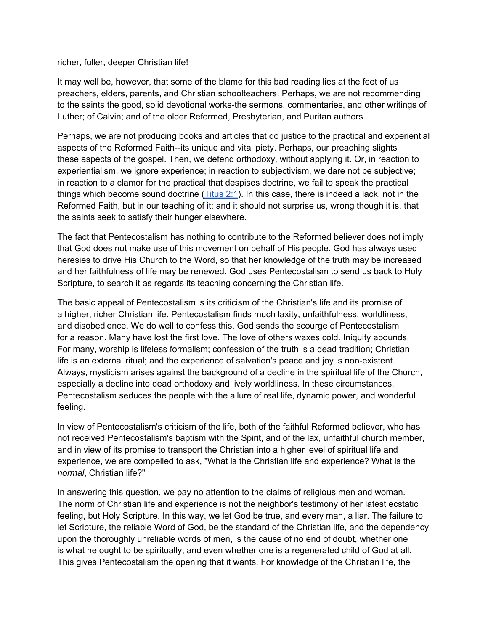#### richer, fuller, deeper Christian life!

It may well be, however, that some of the blame for this bad reading lies at the feet of us preachers, elders, parents, and Christian schoolteachers. Perhaps, we are not recommending to the saints the good, solid devotional works-the sermons, commentaries, and other writings of Luther; of Calvin; and of the older Reformed, Presbyterian, and Puritan authors.

Perhaps, we are not producing books and articles that do justice to the practical and experiential aspects of the Reformed Faith--its unique and vital piety. Perhaps, our preaching slights these aspects of the gospel. Then, we defend orthodoxy, without applying it. Or, in reaction to experientialism, we ignore experience; in reaction to subjectivism, we dare not be subjective; in reaction to a clamor for the practical that despises doctrine, we fail to speak the practical things which become sound doctrine  $(Titus 2:1)$  $(Titus 2:1)$ . In this case, there is indeed a lack, not in the Reformed Faith, but in our teaching of it; and it should not surprise us, wrong though it is, that the saints seek to satisfy their hunger elsewhere.

The fact that Pentecostalism has nothing to contribute to the Reformed believer does not imply that God does not make use of this movement on behalf of His people. God has always used heresies to drive His Church to the Word, so that her knowledge of the truth may be increased and her faithfulness of life may be renewed. God uses Pentecostalism to send us back to Holy Scripture, to search it as regards its teaching concerning the Christian life.

The basic appeal of Pentecostalism is its criticism of the Christian's life and its promise of a higher, richer Christian life. Pentecostalism finds much laxity, unfaithfulness, worldliness, and disobedience. We do well to confess this. God sends the scourge of Pentecostalism for a reason. Many have lost the first love. The love of others waxes cold. Iniquity abounds. For many, worship is lifeless formalism; confession of the truth is a dead tradition; Christian life is an external ritual; and the experience of salvation's peace and joy is non-existent. Always, mysticism arises against the background of a decline in the spiritual life of the Church, especially a decline into dead orthodoxy and lively worldliness. In these circumstances, Pentecostalism seduces the people with the allure of real life, dynamic power, and wonderful feeling.

In view of Pentecostalism's criticism of the life, both of the faithful Reformed believer, who has not received Pentecostalism's baptism with the Spirit, and of the lax, unfaithful church member, and in view of its promise to transport the Christian into a higher level of spiritual life and experience, we are compelled to ask, "What is the Christian life and experience? What is the *normal*, Christian life?"

In answering this question, we pay no attention to the claims of religious men and woman. The norm of Christian life and experience is not the neighbor's testimony of her latest ecstatic feeling, but Holy Scripture. In this way, we let God be true, and every man, a liar. The failure to let Scripture, the reliable Word of God, be the standard of the Christian life, and the dependency upon the thoroughly unreliable words of men, is the cause of no end of doubt, whether one is what he ought to be spiritually, and even whether one is a regenerated child of God at all. This gives Pentecostalism the opening that it wants. For knowledge of the Christian life, the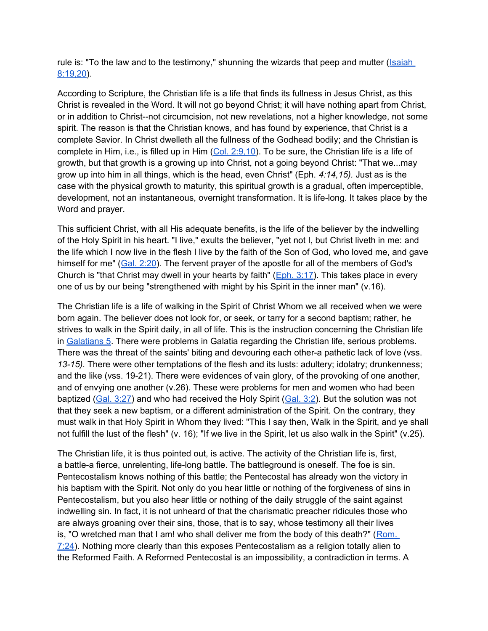rule is: "To the law and to the testimony," shunning the wizards that peep and mutter ([Isaiah](http://bible.gospelcom.net/bible?version=KJV&passage=Isaiah+8:19,20) [8:19,20\)](http://bible.gospelcom.net/bible?version=KJV&passage=Isaiah+8:19,20).

According to Scripture, the Christian life is a life that finds its fullness in Jesus Christ, as this Christ is revealed in the Word. It will not go beyond Christ; it will have nothing apart from Christ, or in addition to Christ--not circumcision, not new revelations, not a higher knowledge, not some spirit. The reason is that the Christian knows, and has found by experience, that Christ is a complete Savior. In Christ dwelleth all the fullness of the Godhead bodily; and the Christian is complete in Him, i.e., is filled up in Him ([Col. 2:9,10\)](http://bible.gospelcom.net/bible?version=KJV&passage=Col+2:9,10). To be sure, the Christian life is a life of growth, but that growth is a growing up into Christ, not a going beyond Christ: "That we...may grow up into him in all things, which is the head, even Christ" (Eph. *4:14,15).* Just as is the case with the physical growth to maturity, this spiritual growth is a gradual, often imperceptible, development, not an instantaneous, overnight transformation. It is life-long. It takes place by the Word and prayer.

This sufficient Christ, with all His adequate benefits, is the life of the believer by the indwelling of the Holy Spirit in his heart. "I live," exults the believer, "yet not I, but Christ liveth in me: and the life which I now live in the flesh I live by the faith of the Son of God, who loved me, and gave himself for me" ([Gal. 2:20](http://bible.gospelcom.net/bible?version=KJV&passage=Gal+2:20)). The fervent prayer of the apostle for all of the members of God's Church is "that Christ may dwell in your hearts by faith" ( $Eph. 3:17$ ). This takes place in every one of us by our being "strengthened with might by his Spirit in the inner man" (v.16).

The Christian life is a life of walking in the Spirit of Christ Whom we all received when we were born again. The believer does not look for, or seek, or tarry for a second baptism; rather, he strives to walk in the Spirit daily, in all of life. This is the instruction concerning the Christian life in [Galatians 5](http://bible.gospelcom.net/bible?version=KJV&passage=Galatians+5). There were problems in Galatia regarding the Christian life, serious problems. There was the threat of the saints' biting and devouring each other-a pathetic lack of love (vss. *13-15).* There were other temptations of the flesh and its lusts: adultery; idolatry; drunkenness; and the like (vss. 19-21). There were evidences of vain glory, of the provoking of one another, and of envying one another (v.26). These were problems for men and women who had been baptized [\(Gal. 3:27\)](http://bible.gospelcom.net/bible?version=KJV&passage=Gal+3:27) and who had received the Holy Spirit ([Gal. 3:2](http://bible.gospelcom.net/bible?version=KJV&passage=Gal+3:2)). But the solution was not that they seek a new baptism, or a different administration of the Spirit. On the contrary, they must walk in that Holy Spirit in Whom they lived: "This I say then, Walk in the Spirit, and ye shall not fulfill the lust of the flesh" (v. 16); "If we live in the Spirit, let us also walk in the Spirit" (v.25).

The Christian life, it is thus pointed out, is active. The activity of the Christian life is, first, a battle-a fierce, unrelenting, life-long battle. The battleground is oneself. The foe is sin. Pentecostalism knows nothing of this battle; the Pentecostal has already won the victory in his baptism with the Spirit. Not only do you hear little or nothing of the forgiveness of sins in Pentecostalism, but you also hear little or nothing of the daily struggle of the saint against indwelling sin. In fact, it is not unheard of that the charismatic preacher ridicules those who are always groaning over their sins, those, that is to say, whose testimony all their lives is, "O wretched man that I am! who shall deliver me from the body of this death?" ( $\overline{\text{Rom}}$ . [7:24](http://bible.gospelcom.net/bible?version=KJV&passage=Rom+7:24)). Nothing more clearly than this exposes Pentecostalism as a religion totally alien to the Reformed Faith. A Reformed Pentecostal is an impossibility, a contradiction in terms. A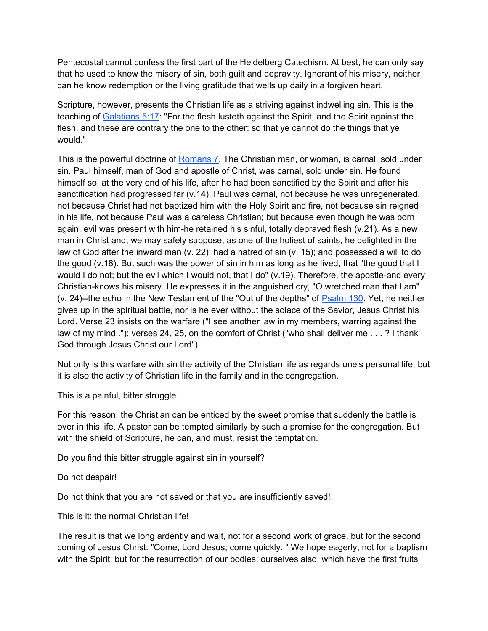Pentecostal cannot confess the first part of the Heidelberg Catechism. At best, he can only say that he used to know the misery of sin, both guilt and depravity. Ignorant of his misery, neither can he know redemption or the living gratitude that wells up daily in a forgiven heart.

Scripture, however, presents the Christian life as a striving against indwelling sin. This is the teaching of [Galatians 5:17:](http://bible.gospelcom.net/bible?version=KJV&passage=Galatians+5:17) "For the flesh lusteth against the Spirit, and the Spirit against the flesh: and these are contrary the one to the other: so that ye cannot do the things that ye would."

This is the powerful doctrine of [Romans 7](http://bible.gospelcom.net/bible?version=KJV&passage=Romans+7). The Christian man, or woman, is carnal, sold under sin. Paul himself, man of God and apostle of Christ, was carnal, sold under sin. He found himself so, at the very end of his life, after he had been sanctified by the Spirit and after his sanctification had progressed far (v.14). Paul was carnal, not because he was unregenerated, not because Christ had not baptized him with the Holy Spirit and fire, not because sin reigned in his life, not because Paul was a careless Christian; but because even though he was born again, evil was present with him-he retained his sinful, totally depraved flesh (v.21). As a new man in Christ and, we may safely suppose, as one of the holiest of saints, he delighted in the law of God after the inward man (v. 22); had a hatred of sin (v. 15); and possessed a will to do the good (v.18). But such was the power of sin in him as long as he lived, that "the good that I would I do not; but the evil which I would not, that I do" (v.19). Therefore, the apostle-and every Christian-knows his misery. He expresses it in the anguished cry, "O wretched man that I am" (v. 24)--the echo in the New Testament of the "Out of the depths" of [Psalm 130.](http://bible.gospelcom.net/bible?version=KJV&passage=Psalm+130) Yet, he neither gives up in the spiritual battle, nor is he ever without the solace of the Savior, Jesus Christ his Lord. Verse 23 insists on the warfare ("I see another law in my members, warring against the law of my mind.."); verses 24, 25, on the comfort of Christ ("who shall deliver me . . . ? I thank God through Jesus Christ our Lord").

Not only is this warfare with sin the activity of the Christian life as regards one's personal life, but it is also the activity of Christian life in the family and in the congregation.

This is a painful, bitter struggle.

For this reason, the Christian can be enticed by the sweet promise that suddenly the battle is over in this life. A pastor can be tempted similarly by such a promise for the congregation. But with the shield of Scripture, he can, and must, resist the temptation.

Do you find this bitter struggle against sin in yourself?

Do not despair!

Do not think that you are not saved or that you are insufficiently saved!

This is it: the normal Christian life!

The result is that we long ardently and wait, not for a second work of grace, but for the second coming of Jesus Christ: "Come, Lord Jesus; come quickly. " We hope eagerly, not for a baptism with the Spirit, but for the resurrection of our bodies: ourselves also, which have the first fruits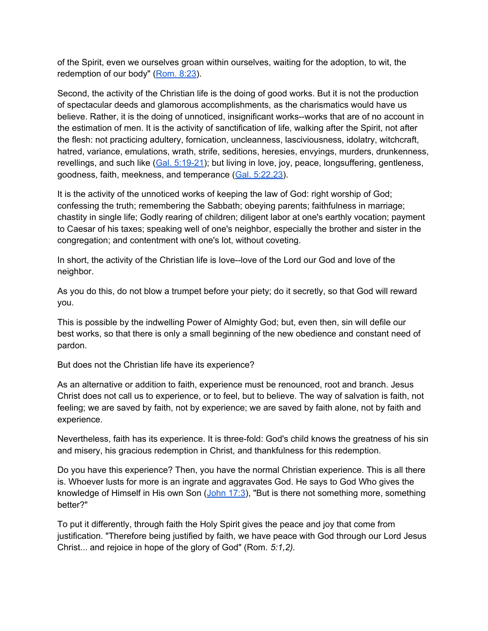of the Spirit, even we ourselves groan within ourselves, waiting for the adoption, to wit, the redemption of our body" ([Rom. 8:23](http://bible.gospelcom.net/bible?version=KJV&passage=Rom+8:23)).

Second, the activity of the Christian life is the doing of good works. But it is not the production of spectacular deeds and glamorous accomplishments, as the charismatics would have us believe. Rather, it is the doing of unnoticed, insignificant works--works that are of no account in the estimation of men. It is the activity of sanctification of life, walking after the Spirit, not after the flesh: not practicing adultery, fornication, uncleanness, lasciviousness, idolatry, witchcraft, hatred, variance, emulations, wrath, strife, seditions, heresies, envyings, murders, drunkenness, revellings, and such like ([Gal. 5:19-21](http://bible.gospelcom.net/bible?version=KJV&passage=Gal+5:19-21)); but living in love, joy, peace, longsuffering, gentleness, goodness, faith, meekness, and temperance [\(Gal. 5:22,23](http://bible.gospelcom.net/bible?version=KJV&passage=Gal+5:22,23)).

It is the activity of the unnoticed works of keeping the law of God: right worship of God; confessing the truth; remembering the Sabbath; obeying parents; faithfulness in marriage; chastity in single life; Godly rearing of children; diligent labor at one's earthly vocation; payment to Caesar of his taxes; speaking well of one's neighbor, especially the brother and sister in the congregation; and contentment with one's lot, without coveting.

In short, the activity of the Christian life is love--love of the Lord our God and love of the neighbor.

As you do this, do not blow a trumpet before your piety; do it secretly, so that God will reward you.

This is possible by the indwelling Power of Almighty God; but, even then, sin will defile our best works, so that there is only a small beginning of the new obedience and constant need of pardon.

But does not the Christian life have its experience?

As an alternative or addition to faith, experience must be renounced, root and branch. Jesus Christ does not call us to experience, or to feel, but to believe. The way of salvation is faith, not feeling; we are saved by faith, not by experience; we are saved by faith alone, not by faith and experience.

Nevertheless, faith has its experience. It is three-fold: God's child knows the greatness of his sin and misery, his gracious redemption in Christ, and thankfulness for this redemption.

Do you have this experience? Then, you have the normal Christian experience. This is all there is. Whoever lusts for more is an ingrate and aggravates God. He says to God Who gives the knowledge of Himself in His own Son  $(John 17:3)$  $(John 17:3)$  $(John 17:3)$ , "But is there not something more, something better?"

To put it differently, through faith the Holy Spirit gives the peace and joy that come from justification. "Therefore being justified by faith, we have peace with God through our Lord Jesus Christ... and rejoice in hope of the glory of God" (Rom. *5:1,2).*